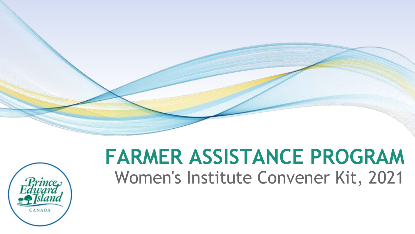



#### **FARMER ASSISTANCE PROGRAM**  Women's Institute Convener Kit, 2021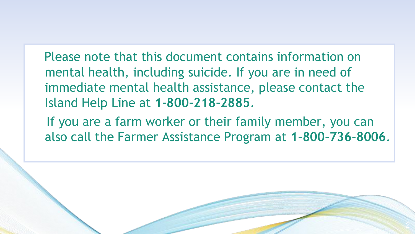Please note that this document contains information on mental health, including suicide. If you are in need of immediate mental health assistance, please contact the Island Help Line at **1-800-218-2885**.

 If you are a farm worker or their family member, you can also call the Farmer Assistance Program at **1-800-736-8006**.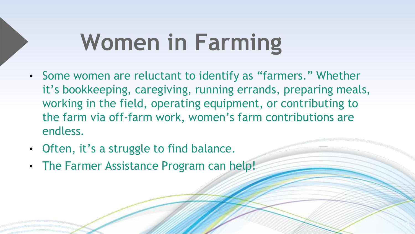## **Women in Farming**

• Some women are reluctant to identify as "farmers." Whether it's bookkeeping, caregiving, running errands, preparing meals, working in the field, operating equipment, or contributing to the farm via off-farm work, women's farm contributions are endless.

3

- Often, it's a struggle to find balance.
- The Farmer Assistance Program can help!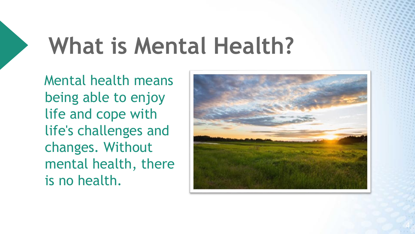# **What is Mental Health?**

 Mental health means being able to enjoy life and cope with life's challenges and changes. Without mental health, there is no health.



4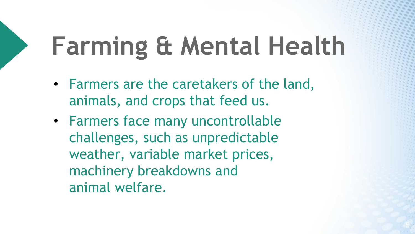# **Farming & Mental Health**

- Farmers are the caretakers of the land, animals, and crops that feed us.
- Farmers face many uncontrollable challenges, such as unpredictable weather, variable market prices, machinery breakdowns and animal welfare.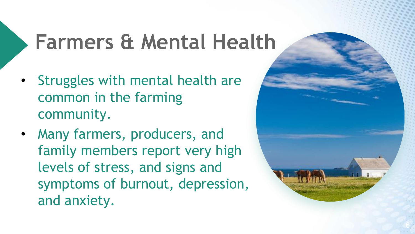#### **Farmers & Mental Health**

- Struggles with mental health are common in the farming community.
- Many farmers, producers, and family members report very high levels of stress, and signs and symptoms of burnout, depression, and anxiety.

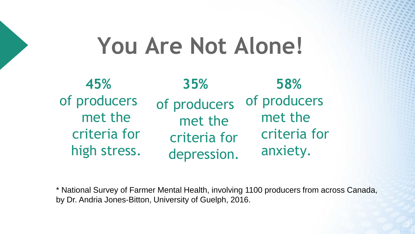#### **You Are Not Alone!**

**35%**  of producers met the criteria for depression. **45%**  of producers met the criteria for high stress. **58%**  of producers met the criteria for anxiety.

\* National Survey of Farmer Mental Health, involving 1100 producers from across Canada, by Dr. Andria Jones-Bitton, University of Guelph, 2016.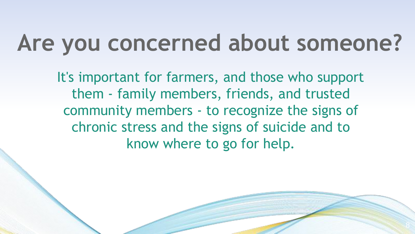#### **Are you concerned about someone?**

 It's important for farmers, and those who support them - family members, friends, and trusted community members - to recognize the signs of chronic stress and the signs of suicide and to know where to go for help.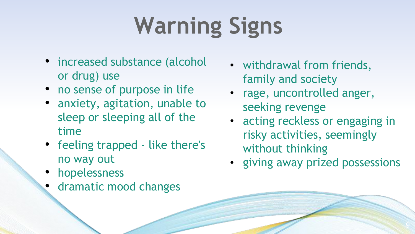# **Warning Signs**

- increased substance (alcohol or drug) use
- no sense of purpose in life
- anxiety, agitation, unable to sleep or sleeping all of the time
- feeling trapped like there's no way out
- hopelessness
- dramatic mood changes
- withdrawal from friends, family and society
- rage, uncontrolled anger, seeking revenge
- acting reckless or engaging in risky activities, seemingly without thinking
- giving away prized possessions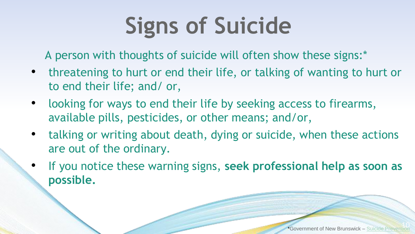# **Signs of Suicide**

A person with thoughts of suicide will often show these signs:\*

- threatening to hurt or end their life, or talking of wanting to hurt or to end their life; and/ or,
- looking for ways to end their life by seeking access to firearms, available pills, pesticides, or other means; and/or,
- talking or writing about death, dying or suicide, when these actions are out of the ordinary.
- If you notice these warning signs, **seek professional help as soon as possible.**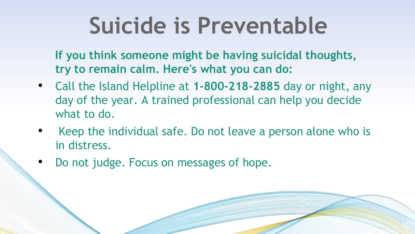**If you think someone might be having suicidal thoughts, try to remain calm. Here's what you can do:**

- Call the Island Helpline at **1-800-218-2885** day or night, any day of the year. A trained professional can help you decide what to do.
- Keep the individual safe. Do not leave a person alone who is in distress.
- Do not judge. Focus on messages of hope.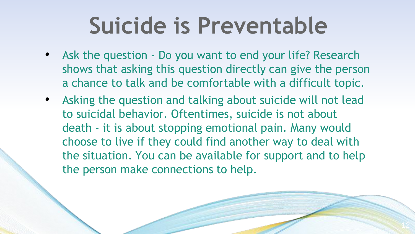- Ask the question Do you want to end your life? Research shows that asking this question directly can give the person a chance to talk and be comfortable with a difficult topic.
- Asking the question and talking about suicide will not lead to suicidal behavior. Oftentimes, suicide is not about death - it is about stopping emotional pain. Many would choose to live if they could find another way to deal with the situation. You can be available for support and to help the person make connections to help.

i.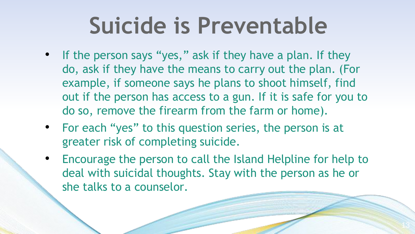- If the person says "yes," ask if they have a plan. If they do, ask if they have the means to carry out the plan. (For example, if someone says he plans to shoot himself, find out if the person has access to a gun. If it is safe for you to do so, remove the firearm from the farm or home).
- For each "yes" to this question series, the person is at greater risk of completing suicide.
- Encourage the person to call the Island Helpline for help to deal with suicidal thoughts. Stay with the person as he or she talks to a counselor.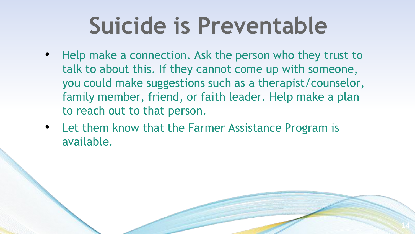- Help make a connection. Ask the person who they trust to talk to about this. If they cannot come up with someone, you could make suggestions such as a therapist/counselor, family member, friend, or faith leader. Help make a plan to reach out to that person.
- Let them know that the Farmer Assistance Program is available.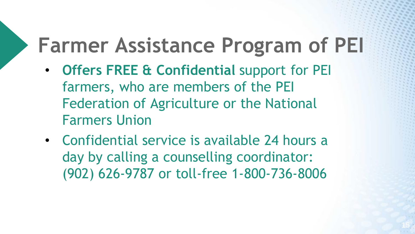#### **Farmer Assistance Program of PEI**

- **Offers FREE & Confidential** support for PEI farmers, who are members of the PEI Federation of Agriculture or the National Farmers Union
- Confidential service is available 24 hours a day by calling a counselling coordinator: (902) 626-9787 or toll-free 1-800-736-8006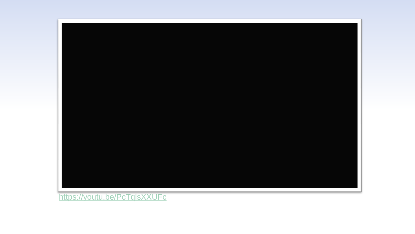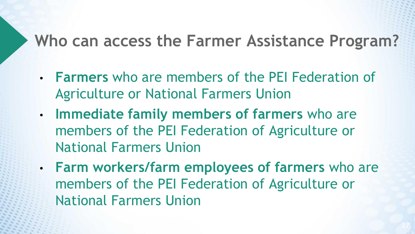#### **Who can access the Farmer Assistance Program?**

- **Farmers** who are members of the PEI Federation of Agriculture or National Farmers Union
- **Immediate family members of farmers** who are members of the PEI Federation of Agriculture or National Farmers Union
- **Farm workers/farm employees of farmers** who are members of the PEI Federation of Agriculture or National Farmers Union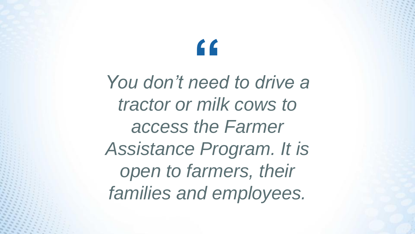**You don't need to drive a** *tractor or milk cows to access the Farmer Assistance Program. It is open to farmers, their families and employees.*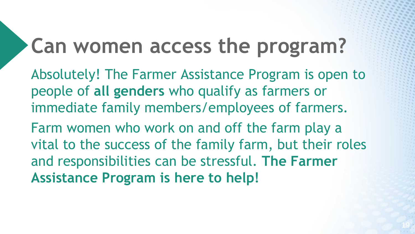#### **Can women access the program?**

Absolutely! The Farmer Assistance Program is open to people of **all genders** who qualify as farmers or immediate family members/employees of farmers.

Farm women who work on and off the farm play a vital to the success of the family farm, but their roles and responsibilities can be stressful. **The Farmer Assistance Program is here to help!**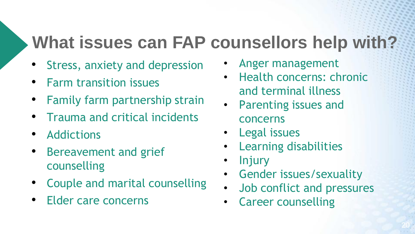#### **What issues can FAP counsellors help with?**

- Stress, anxiety and depression
- Farm transition issues
- Family farm partnership strain
- Trauma and critical incidents
- Addictions
- Bereavement and grief counselling
- Couple and marital counselling
- Elder care concerns
- Anger management
- Health concerns: chronic and terminal illness
- Parenting issues and concerns
- Legal issues
- Learning disabilities
- **Injury**
- Gender issues/sexuality
- Job conflict and pressures
- Career counselling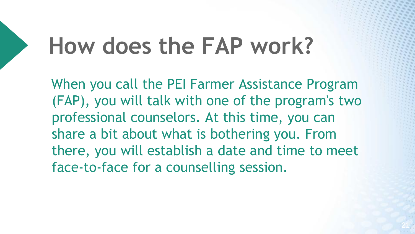#### **How does the FAP work?**

 When you call the PEI Farmer Assistance Program (FAP), you will talk with one of the program's two professional counselors. At this time, you can share a bit about what is bothering you. From there, you will establish a date and time to meet face-to-face for a counselling session.

21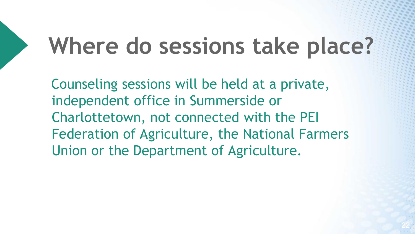#### **Where do sessions take place?**

 Counseling sessions will be held at a private, independent office in Summerside or Charlottetown, not connected with the PEI Federation of Agriculture, the National Farmers Union or the Department of Agriculture.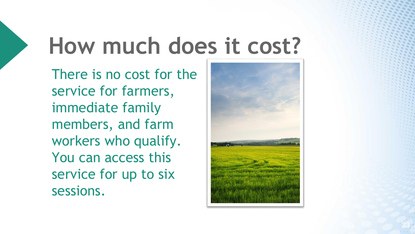## **How much does it cost?**

There is no cost for the service for farmers, immediate family members, and farm workers who qualify. You can access this service for up to six sessions.

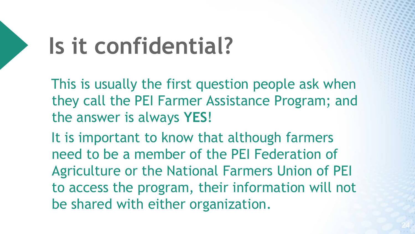## **Is it confidential?**

 This is usually the first question people ask when they call the PEI Farmer Assistance Program; and the answer is always **YES**!

 It is important to know that although farmers need to be a member of the PEI Federation of Agriculture or the National Farmers Union of PEI to access the program, their information will not be shared with either organization.